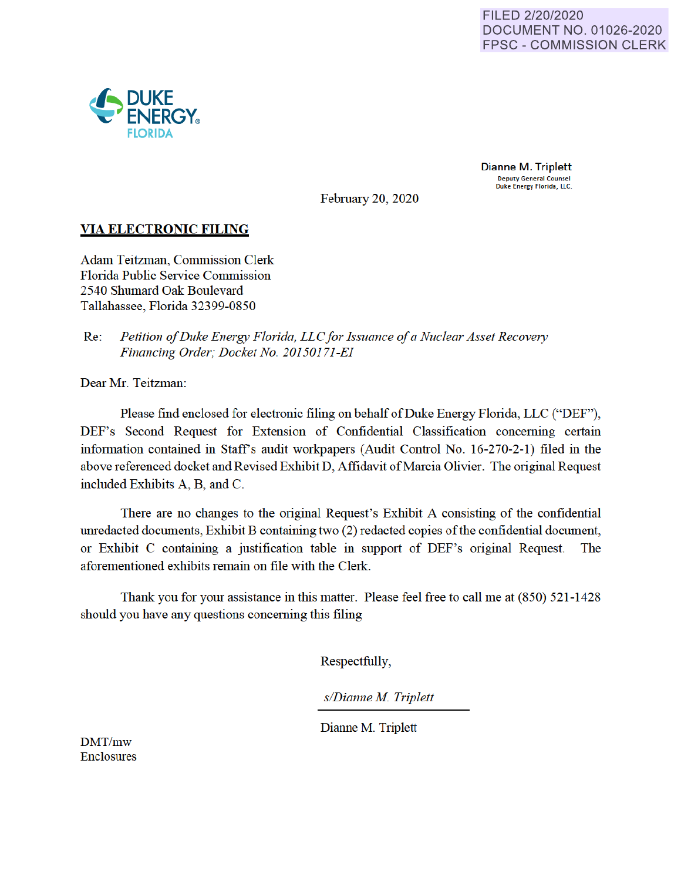

Dianne M. Triplett Deputy General Counsel Duke Energy Florida, LLC.

February 20, 2020

# **VIA ELECTRONIC FILING**

Adam Teitzman, Commission Clerk Florida Public Service Commission 2540 Shumard Oak Boulevard Tallahassee, Florida 32399-0850

Re: *Petition of Duke Energy Florida, LLC for Issuance of a Nuclear Asset Recovery Financing Order; Docket No. 201501 71-EI* 

Dear Mr. Teitzman:

Please find enclosed for electronic filing on behalf of Duke Energy Florida, LLC ("DEF"), DEF's Second Request for Extension of Confidential Classification concerning certain information contained in Staff's audit workpapers (Audit Control No. 16-270-2-1) filed in the above referenced docket and Revised Exhibit D, Affidavit of Marcia Olivier. The original Request included Exhibits A, B, and C.

There are no changes to the original Request's Exhibit A consisting of the confidential unredacted documents, Exhibit B containing two (2) redacted copies of the confidential document, or Exhibit C containing a justification table in support of DEF's original Request. The aforementioned exhibits remain on file with the Clerk.

Thank you for your assistance in this matter. Please feel free to call me at (850) 521-1428 should you have any questions concerning this filing

Respectfully,

*s/Dianne M Triplett* 

Dianne M. Triplett

DMT/mw Enclosures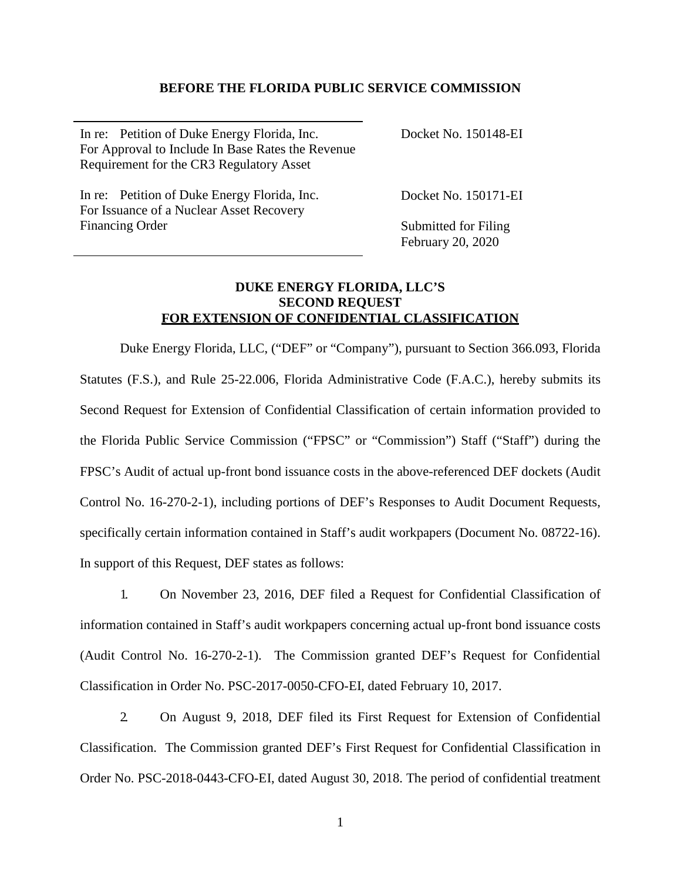### **BEFORE THE FLORIDA PUBLIC SERVICE COMMISSION**

In re: Petition of Duke Energy Florida, Inc. For Approval to Include In Base Rates the Revenue Requirement for the CR3 Regulatory Asset Docket No. 150148-EI

In re: Petition of Duke Energy Florida, Inc. For Issuance of a Nuclear Asset Recovery Financing Order

Docket No. 150171-EI

Submitted for Filing February 20, 2020

# **DUKE ENERGY FLORIDA, LLC'S SECOND REQUEST FOR EXTENSION OF CONFIDENTIAL CLASSIFICATION**

Duke Energy Florida, LLC, ("DEF" or "Company"), pursuant to Section 366.093, Florida Statutes (F.S.), and Rule 25-22.006, Florida Administrative Code (F.A.C.), hereby submits its Second Request for Extension of Confidential Classification of certain information provided to the Florida Public Service Commission ("FPSC" or "Commission") Staff ("Staff") during the FPSC's Audit of actual up-front bond issuance costs in the above-referenced DEF dockets (Audit Control No. 16-270-2-1), including portions of DEF's Responses to Audit Document Requests, specifically certain information contained in Staff's audit workpapers (Document No. 08722-16). In support of this Request, DEF states as follows:

1. On November 23, 2016, DEF filed a Request for Confidential Classification of information contained in Staff's audit workpapers concerning actual up-front bond issuance costs (Audit Control No. 16-270-2-1). The Commission granted DEF's Request for Confidential Classification in Order No. PSC-2017-0050-CFO-EI, dated February 10, 2017.

2. On August 9, 2018, DEF filed its First Request for Extension of Confidential Classification. The Commission granted DEF's First Request for Confidential Classification in Order No. PSC-2018-0443-CFO-EI, dated August 30, 2018. The period of confidential treatment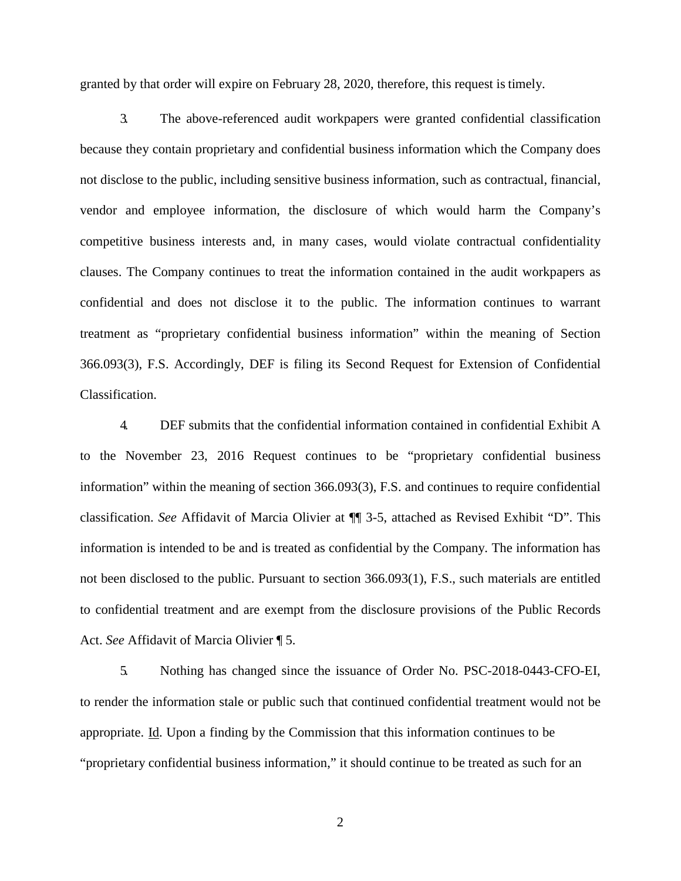granted by that order will expire on February 28, 2020, therefore, this request is timely.

3. The above-referenced audit workpapers were granted confidential classification because they contain proprietary and confidential business information which the Company does not disclose to the public, including sensitive business information, such as contractual, financial, vendor and employee information, the disclosure of which would harm the Company's competitive business interests and, in many cases, would violate contractual confidentiality clauses. The Company continues to treat the information contained in the audit workpapers as confidential and does not disclose it to the public. The information continues to warrant treatment as "proprietary confidential business information" within the meaning of Section 366.093(3), F.S. Accordingly, DEF is filing its Second Request for Extension of Confidential Classification.

4. DEF submits that the confidential information contained in confidential Exhibit A to the November 23, 2016 Request continues to be "proprietary confidential business information" within the meaning of section 366.093(3), F.S. and continues to require confidential classification. *See* Affidavit of Marcia Olivier at ¶¶ 3-5, attached as Revised Exhibit "D". This information is intended to be and is treated as confidential by the Company. The information has not been disclosed to the public. Pursuant to section 366.093(1), F.S., such materials are entitled to confidential treatment and are exempt from the disclosure provisions of the Public Records Act. *See* Affidavit of Marcia Olivier ¶ 5.

5. Nothing has changed since the issuance of Order No. PSC-2018-0443-CFO-EI, to render the information stale or public such that continued confidential treatment would not be appropriate. Id. Upon a finding by the Commission that this information continues to be "proprietary confidential business information," it should continue to be treated as such for an

2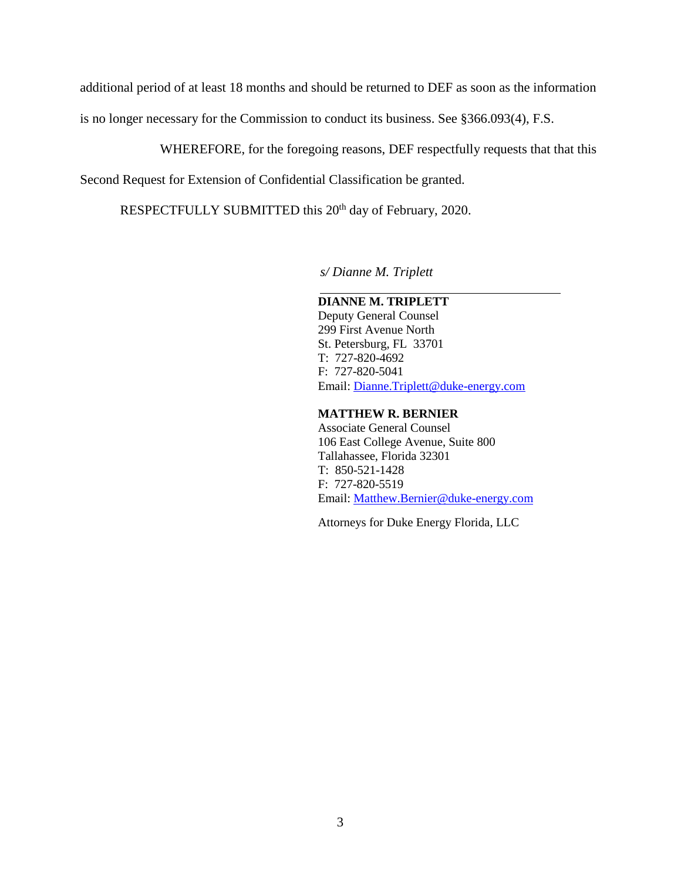additional period of at least 18 months and should be returned to DEF as soon as the information

is no longer necessary for the Commission to conduct its business. See §366.093(4), F.S.

WHEREFORE, for the foregoing reasons, DEF respectfully requests that that this

Second Request for Extension of Confidential Classification be granted.

RESPECTFULLY SUBMITTED this 20<sup>th</sup> day of February, 2020.

*s/ Dianne M. Triplett* 

## **DIANNE M. TRIPLETT**

Deputy General Counsel 299 First Avenue North St. Petersburg, FL 33701 T: 727-820-4692 F: 727-820-5041 Email: Dianne.Triplett@duke-energy.com

#### **MATTHEW R. BERNIER**

 Associate General Counsel 106 East College Avenue, Suite 800 Tallahassee, Florida 32301 T: 850-521-1428 F: 727-820-5519 Email: Matthew.Bernier@duke-energy.com

Attorneys for Duke Energy Florida, LLC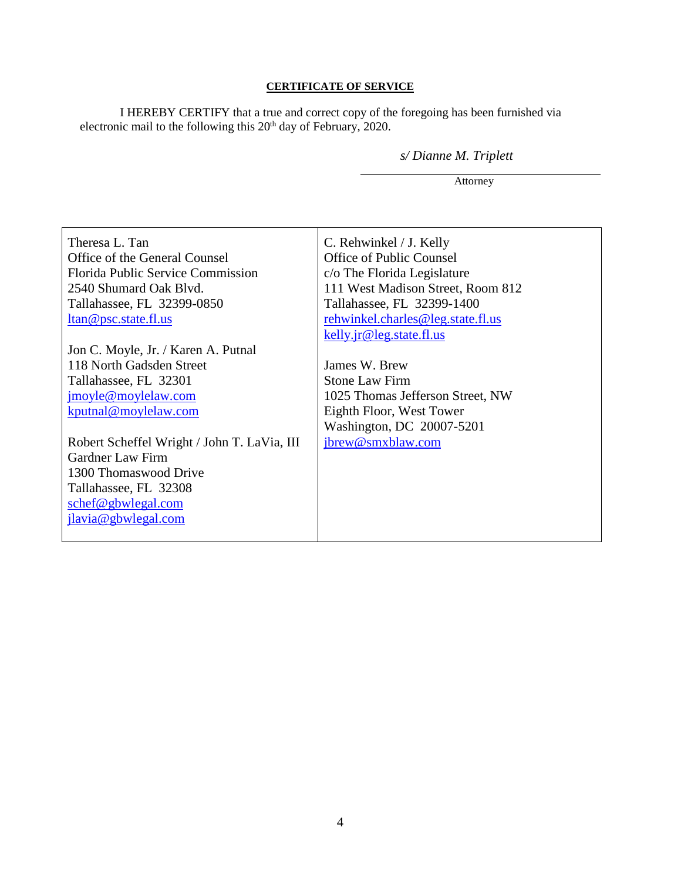### **CERTIFICATE OF SERVICE**

I HEREBY CERTIFY that a true and correct copy of the foregoing has been furnished via electronic mail to the following this  $20<sup>th</sup>$  day of February, 2020.

*s/ Dianne M. Triplett* 

Attorney

| Theresa L. Tan                              | C. Rehwinkel / J. Kelly           |
|---------------------------------------------|-----------------------------------|
| Office of the General Counsel               | <b>Office of Public Counsel</b>   |
| <b>Florida Public Service Commission</b>    | c/o The Florida Legislature       |
| 2540 Shumard Oak Blvd.                      | 111 West Madison Street, Room 812 |
| Tallahassee, FL 32399-0850                  | Tallahassee, FL 32399-1400        |
| ltan@psc.state.fl.us                        | rehwinkel.charles@leg.state.fl.us |
|                                             | kelly.jr@leg.state.fl.us          |
| Jon C. Moyle, Jr. / Karen A. Putnal         |                                   |
| 118 North Gadsden Street                    | James W. Brew                     |
| Tallahassee, FL 32301                       | <b>Stone Law Firm</b>             |
| jmoyle@moylelaw.com                         | 1025 Thomas Jefferson Street, NW  |
| kputnal@moylelaw.com                        | Eighth Floor, West Tower          |
|                                             | Washington, DC 20007-5201         |
| Robert Scheffel Wright / John T. LaVia, III | jbrew@smxblaw.com                 |
| Gardner Law Firm                            |                                   |
| 1300 Thomaswood Drive                       |                                   |
| Tallahassee, FL 32308                       |                                   |
| schef@gbwlegal.com                          |                                   |
| jlavia@gbwlegal.com                         |                                   |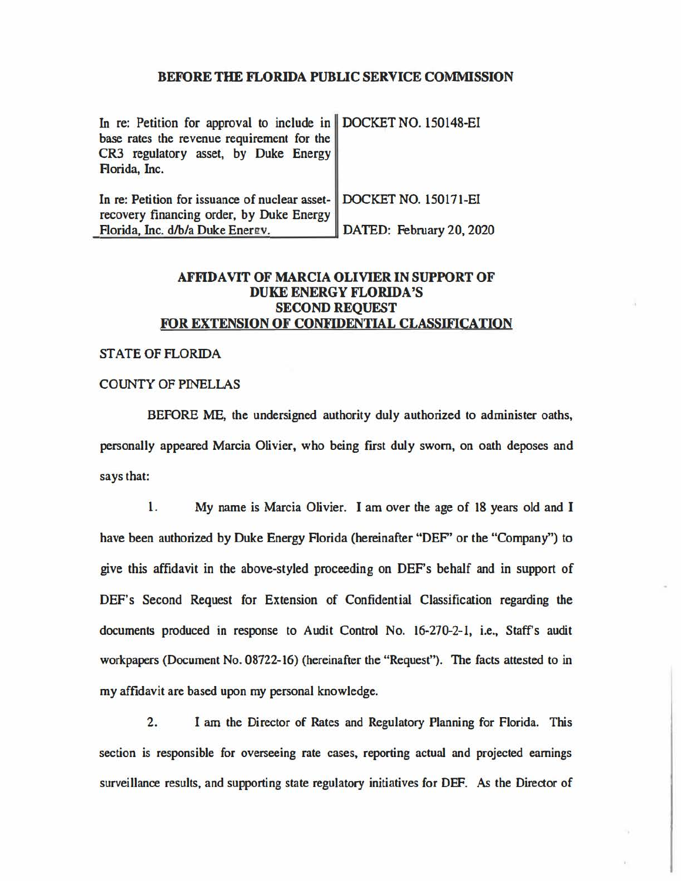### **BEFORE THE FLORIDA PUBLIC SERVICE COMMISSION**

| In re: Petition for approval to include in DOCKET NO. 150148-EI<br>base rates the revenue requirement for the<br>CR3 regulatory asset, by Duke Energy<br>Florida, Inc. |                          |
|------------------------------------------------------------------------------------------------------------------------------------------------------------------------|--------------------------|
| In re: Petition for issuance of nuclear asset- DOCKET NO. 150171-EI<br>recovery financing order, by Duke Energy                                                        |                          |
| Florida, Inc. d/b/a Duke Energy.                                                                                                                                       | DATED: February 20, 2020 |

# **AFFlDA VIT OF MARCIA OLIVIER IN SUPPORT OF DUKE ENERGY FLORIDA'S SECOND REQUEST FOR EXTENSION OF CONFIDENTIAL CLASSIFICATION**

#### ST ATE OF FLORIDA

### COUNTY OF PINELLAS

BEFORE ME, the undersigned authority duly authorized to administer oaths, personally appeared Marcia Olivier, who being first duly sworn, on oath deposes and says that:

1. My name is Marcia Olivier. I am over the age of 18 years old and I have been authorized by Duke Energy Florida (hereinafter "DEF" or the "Company") to give this affidavit in the above-styled proceeding on DEF's behalf and in support of DEF's Second Request for Extension of Confidential Classification regarding the documents produced in response to Audit Control No. 16-270-2-1, i.e., Staff's audit workpapers (Document No. 08722-16) (hereinafter the "Request"). The facts attested to in my affidavit are based upon my personal knowledge.

2. I am the Director of Rates and Regulatory Planning for Florida. This section is responsible for overseeing rate cases, reporting actual and projected earnings surveillance results, and supporting state regulatory initiatives for DEF. *As* the Director of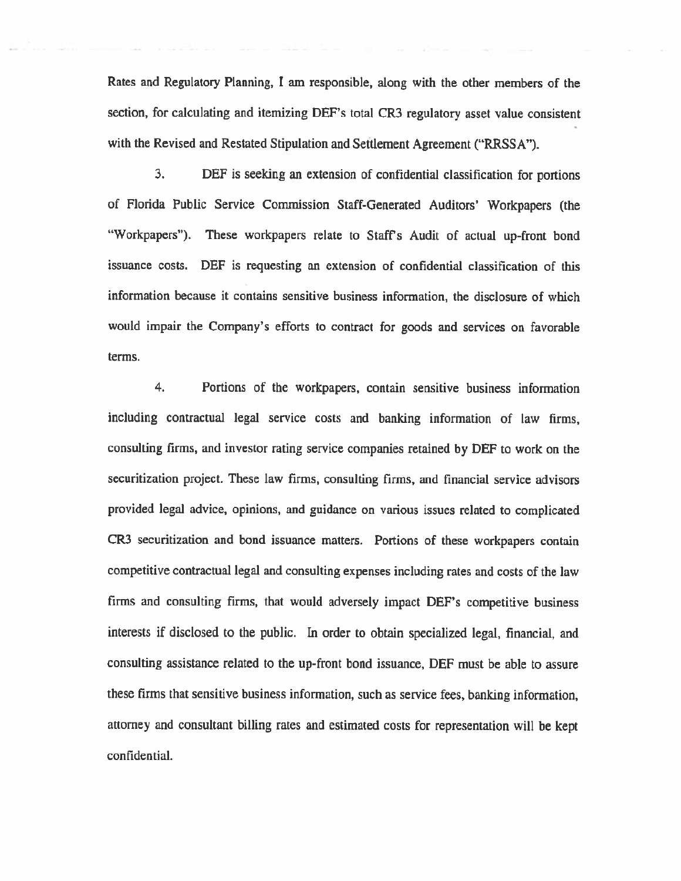Rates and Regulatory Planning, I am responsible, along with the other members of the section, for calculating and itemizing DEF's total CR3 regulatory asset value consistent with the Revised and Restated Stipulation and Settlement Agreement ("RRSSA").

3. DEF is seeking an extension of confidential classification for portions of Florida Public Service Commission Staff-Generated Auditors' Workpapers (the '"Workpapers"). These workpapers relate to Staff's Audit of actual up-front bond issuance costs. DEF is requesting an extension of confidential classification of this information because it contains sensitive business information, the disclosure of which would impair the Company's efforts to contract for goods and services on favorable terms.

4. Portions of the workpapers, contain sensitive business information including contractual legal service costs and banking information of law firms, consulting firms, and investor rating service companies retained by DEF to work on the securitization project. These law firms, consulting firms. and financial service advisors provided legal advice, opinions, and guidance on various issues related to complicated CR3 securitization and bond issuance matters. Portions of these workpapers contain competitive contractual legal and consulting expenses including rates and costs of the law firms and consulting firms, that would adversely impact DEF"s competitive business interests if disclosed to the public. In order to obtain specialized legal, financial, and consulting assistance related to the up-front bond issuance, DEF must be able to assure these firms that sensitive business information, such as service fees, banking information, attorney and consultant billing rates and estimated costs for representation will be kept confidential.